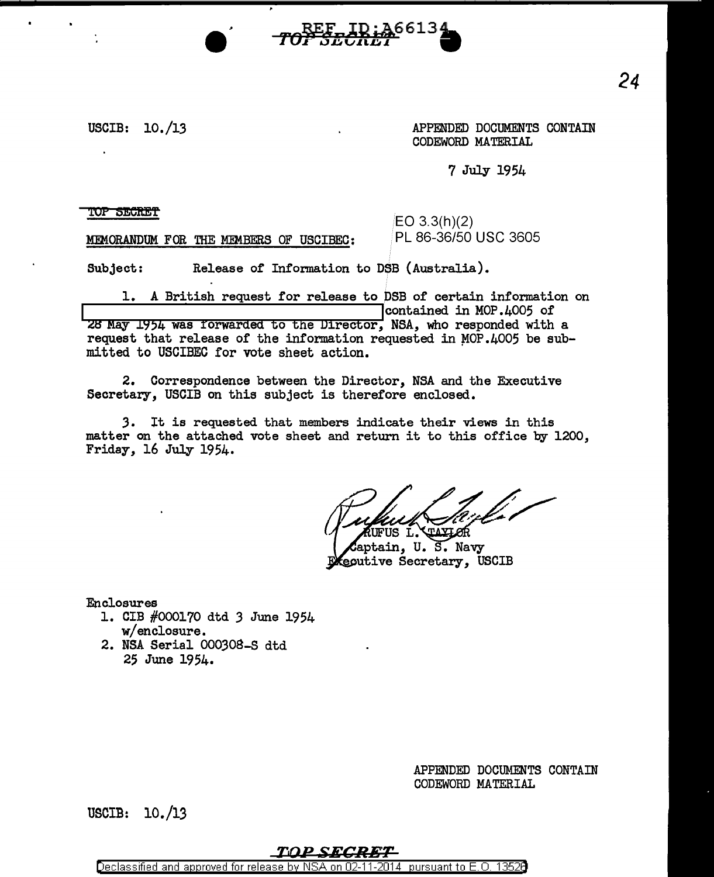## USCIB: 10./13

APPENDED DOCUMENTS CONTAIN CODEWORD MATERIAL

7 July 1954

*'WP* SEOft:Et

MEMORANDUM FOR THE MEMBERS OF USCIBEC:

EO 3.3(h)(2) PL 86-36/50 USC 3605

Subject: Release of Information to DSB (Australia).

1. A British request for release to DSB of certain information on  $\vert$  contained in MOP.4005 of 28 May 1954 was forwarded to the Director, NSA, who responded with a request that release of the information requested in  $MOP.4005$  be submitted to USCIBEC for vote sheet action.

2. Correspondence between the Director, NSA and the Executive Secretary, USCIB on this subject is therefore enclosed.

*3.* It is requested that members indicate their views in this matter on the attached vote sheet and return it to this office by 1200, Friday, 16 July 1954.

**CLAXLOR** UFUS L.

aptain, U.S. Navy ecutive Secretary, USCIB

Enclosures

- 1. CIB #000170 dtd *3* June 1954 w/enclosure.
- 2. NSA Serial 000308-S dtd 25 June 1954.

APPENDED DOCUMENTS CONTAIN CODEWORD MATERIAL

USCIB: 10./13

## TOP SECRET

Declassified and approved for release by NSA on 02-11-2014 pursuant to E.O. 13526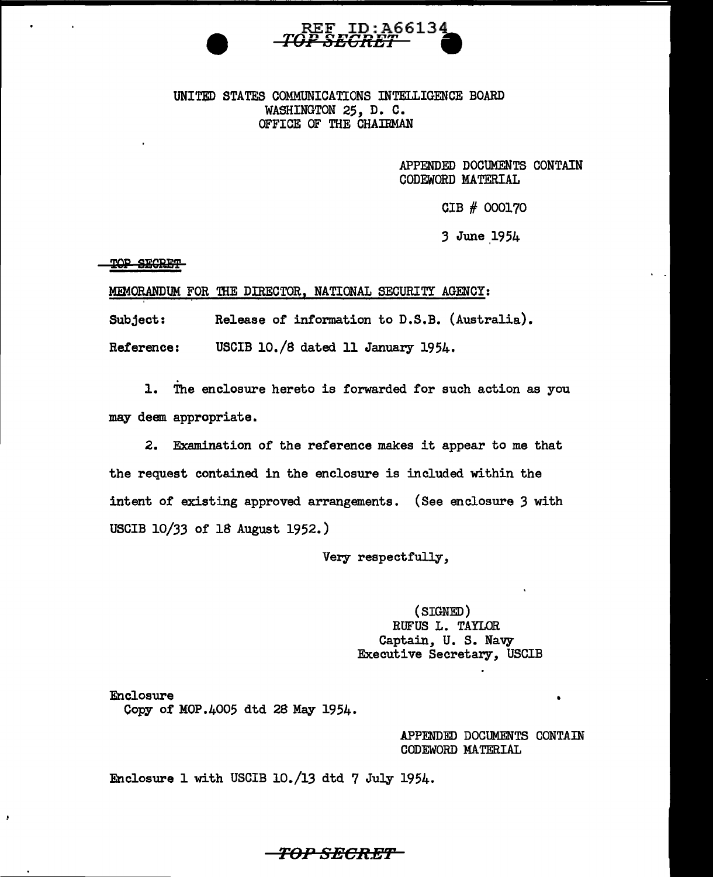

UNITED STATES COMMUNICATIONS INTELLIGENCE BOARD WASHINGTON 25, D. C. OFFICE OF THE CHAIRMAN

> APPENDED DOCUMENTS CONTAIN CODEWORD MATERIAL

> > CIB # 000170

3 June 1954

TOP SECRET

J.

' I

MEMORANDUM FOR THE DIRECTOR, NATIONAL SECURITY AGENCY:

Subject: Release of information to D.S.B. (Australia).

Reference: USCIB 10./8 dated 11 January 1954.

1. The enclosure hereto is forwarded for such action as you may deem appropriate.

2. Examination of the reference makes it appear to me that the request contained in the enclosure is included within the intent of existing approved arrangements. (See enclosure 3 with USCIB 10/33 of 18 August 1952.)

Very respectfully,

(SIGNED) RUFUS L. TAYLOR Captain, U. S. Navy Executive Secretary, USCIB

Enclosure Copy of MOP.4005 dtd 28 May 1954.

> APPENDED DOCUMENTS CONTAIN CODEWORD MATERIAL

Enclosure 1 with USCIB 10./13 dtd 7 July 1954.

TOP SECR.ET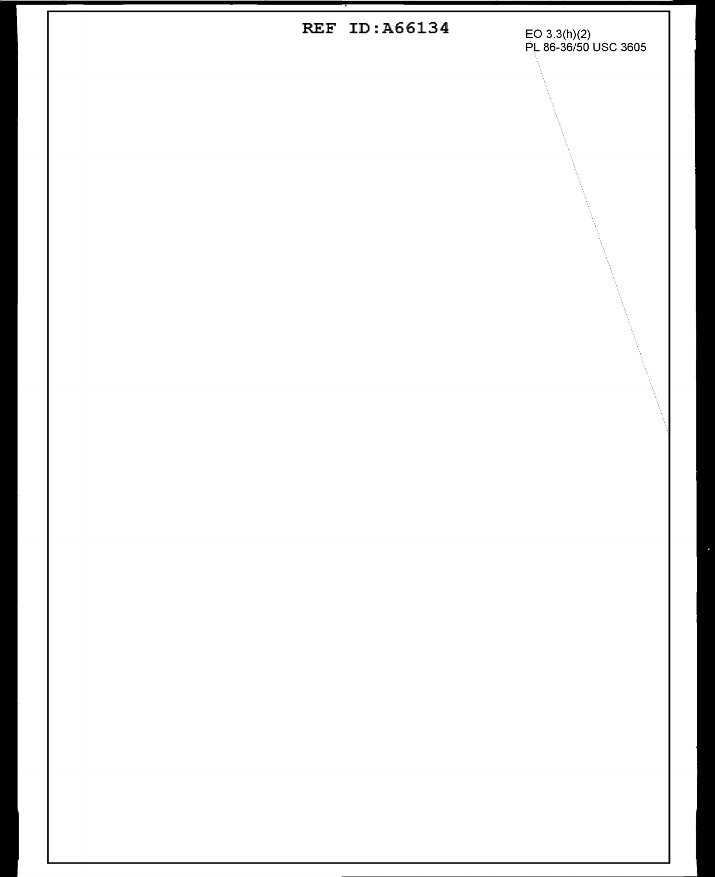REF ID:A66134 EO 3.3(h)(2)<br>PL 86-36/50 USC 3605